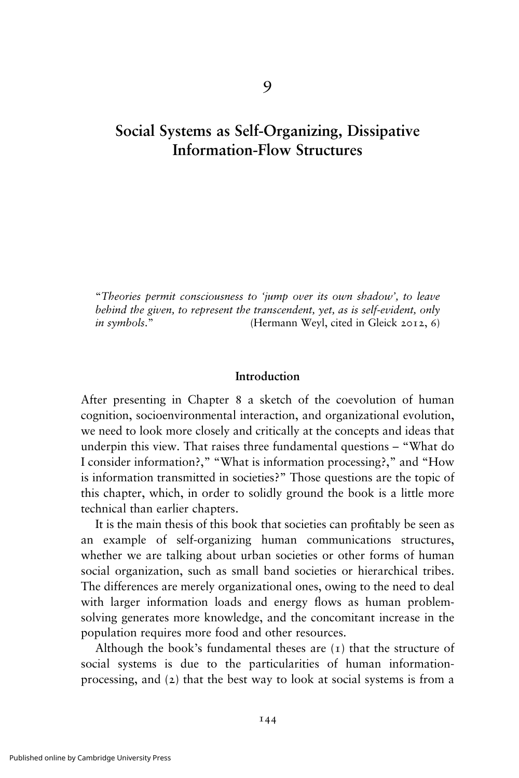# **Social Systems as Self-Organizing, Dissipative Information-Flow Structures**

"*Theories permit consciousness to 'jump over its own shadow', to leave behind the given, to represent the transcendent, yet, as is self-evident, only in symbols*." (Hermann Weyl, cited in Gleick 2012, 6)

## **Introduction**

After presenting in Chapter 8 a sketch of the coevolution of human cognition, socioenvironmental interaction, and organizational evolution, we need to look more closely and critically at the concepts and ideas that underpin this view. That raises three fundamental questions – "What do I consider information?," "What is information processing?," and "How is information transmitted in societies?" Those questions are the topic of this chapter, which, in order to solidly ground the book is a little more technical than earlier chapters.

It is the main thesis of this book that societies can profitably be seen as an example of self-organizing human communications structures, whether we are talking about urban societies or other forms of human social organization, such as small band societies or hierarchical tribes. The differences are merely organizational ones, owing to the need to deal with larger information loads and energy flows as human problemsolving generates more knowledge, and the concomitant increase in the population requires more food and other resources.

Although the book's fundamental theses are  $(I)$  that the structure of social systems is due to the particularities of human informationprocessing, and (2) that the best way to look at social systems is from a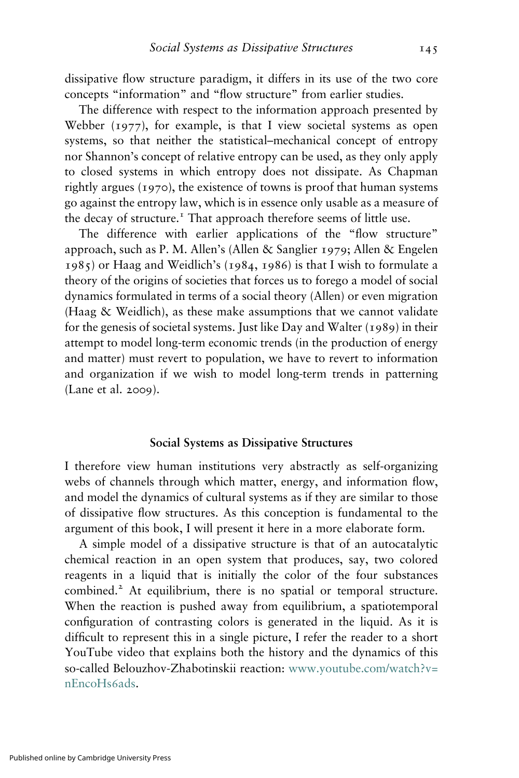dissipative flow structure paradigm, it differs in its use of the two core concepts "information" and "flow structure" from earlier studies.

The difference with respect to the information approach presented by Webber (1977), for example, is that I view societal systems as open systems, so that neither the statistical–mechanical concept of entropy nor Shannon's concept of relative entropy can be used, as they only apply to closed systems in which entropy does not dissipate. As Chapman rightly argues (1970), the existence of towns is proof that human systems go against the entropy law, which is in essence only usable as a measure of the decay of structure.<sup>1</sup> That approach therefore seems of little use.

The difference with earlier applications of the "flow structure" approach, such as P. M. Allen's (Allen & Sanglier 1979; Allen & Engelen  $1985$ ) or Haag and Weidlich's (1984, 1986) is that I wish to formulate a theory of the origins of societies that forces us to forego a model of social dynamics formulated in terms of a social theory (Allen) or even migration (Haag & Weidlich), as these make assumptions that we cannot validate for the genesis of societal systems. Just like Day and Walter (1989) in their attempt to model long-term economic trends (in the production of energy and matter) must revert to population, we have to revert to information and organization if we wish to model long-term trends in patterning (Lane et al. 2009).

## **Social Systems as Dissipative Structures**

I therefore view human institutions very abstractly as self-organizing webs of channels through which matter, energy, and information flow, and model the dynamics of cultural systems as if they are similar to those of dissipative flow structures. As this conception is fundamental to the argument of this book, I will present it here in a more elaborate form.

A simple model of a dissipative structure is that of an autocatalytic chemical reaction in an open system that produces, say, two colored reagents in a liquid that is initially the color of the four substances combined.<sup>2</sup> At equilibrium, there is no spatial or temporal structure. When the reaction is pushed away from equilibrium, a spatiotemporal configuration of contrasting colors is generated in the liquid. As it is difficult to represent this in a single picture, I refer the reader to a short YouTube video that explains both the history and the dynamics of this so-called Belouzhov-Zhabotinskii reaction: [www.youtube.com/watch?v=](http://www.youtube.com/watch?v=nEncoHs6ads) [nEncoHs](http://www.youtube.com/watch?v=nEncoHs6ads)6ads.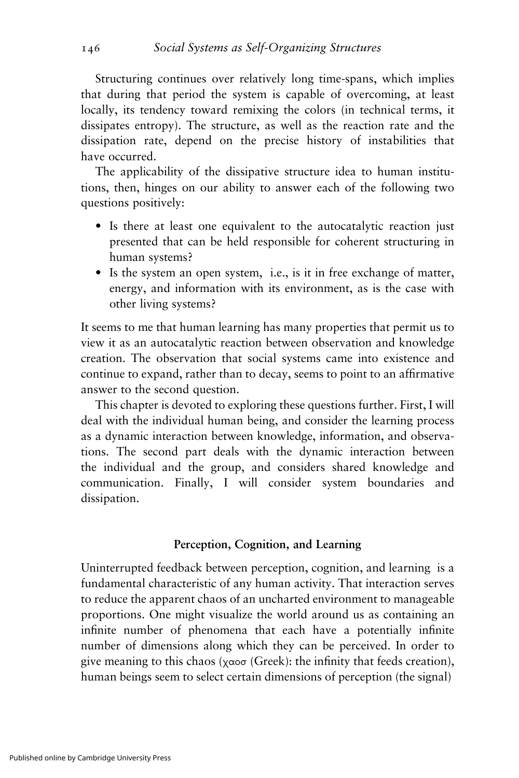Structuring continues over relatively long time-spans, which implies that during that period the system is capable of overcoming, at least locally, its tendency toward remixing the colors (in technical terms, it dissipates entropy). The structure, as well as the reaction rate and the dissipation rate, depend on the precise history of instabilities that have occurred.

The applicability of the dissipative structure idea to human institutions, then, hinges on our ability to answer each of the following two questions positively:

- Is there at least one equivalent to the autocatalytic reaction just presented that can be held responsible for coherent structuring in human systems?
- Is the system an open system, i.e., is it in free exchange of matter, energy, and information with its environment, as is the case with other living systems?

It seems to me that human learning has many properties that permit us to view it as an autocatalytic reaction between observation and knowledge creation. The observation that social systems came into existence and continue to expand, rather than to decay, seems to point to an affirmative answer to the second question.

This chapter is devoted to exploring these questions further. First, I will deal with the individual human being, and consider the learning process as a dynamic interaction between knowledge, information, and observations. The second part deals with the dynamic interaction between the individual and the group, and considers shared knowledge and communication. Finally, I will consider system boundaries and dissipation.

## **Perception, Cognition, and Learning**

Uninterrupted feedback between perception, cognition, and learning is a fundamental characteristic of any human activity. That interaction serves to reduce the apparent chaos of an uncharted environment to manageable proportions. One might visualize the world around us as containing an infinite number of phenomena that each have a potentially infinite number of dimensions along which they can be perceived. In order to give meaning to this chaos ( $\chi \infty$  (Greek): the infinity that feeds creation), human beings seem to select certain dimensions of perception (the signal)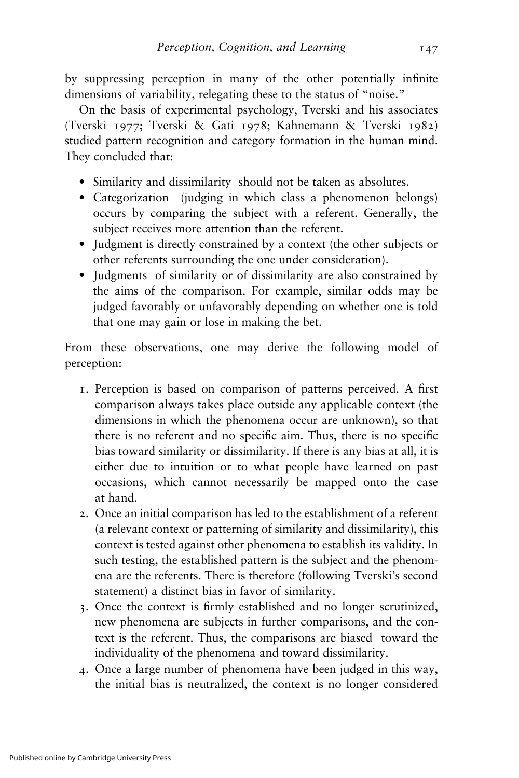by suppressing perception in many of the other potentially infinite dimensions of variability, relegating these to the status of "noise."

On the basis of experimental psychology, Tverski and his associates (Tverski 1977; Tverski & Gati 1978; Kahnemann & Tverski 1982) studied pattern recognition and category formation in the human mind. They concluded that:

- Similarity and dissimilarity should not be taken as absolutes.
- Categorization (judging in which class a phenomenon belongs) occurs by comparing the subject with a referent. Generally, the subject receives more attention than the referent.
- Judgment is directly constrained by a context (the other subjects or other referents surrounding the one under consideration).
- Judgments of similarity or of dissimilarity are also constrained by the aims of the comparison. For example, similar odds may be judged favorably or unfavorably depending on whether one is told that one may gain or lose in making the bet.

From these observations, one may derive the following model of perception:

- 1. Perception is based on comparison of patterns perceived. A first comparison always takes place outside any applicable context (the dimensions in which the phenomena occur are unknown), so that there is no referent and no specific aim. Thus, there is no specific bias toward similarity or dissimilarity. If there is any bias at all, it is either due to intuition or to what people have learned on past occasions, which cannot necessarily be mapped onto the case at hand.
- 2. Once an initial comparison has led to the establishment of a referent (a relevant context or patterning of similarity and dissimilarity), this context is tested against other phenomena to establish its validity. In such testing, the established pattern is the subject and the phenomena are the referents. There is therefore (following Tverski's second statement) a distinct bias in favor of similarity.
- 3. Once the context is firmly established and no longer scrutinized, new phenomena are subjects in further comparisons, and the context is the referent. Thus, the comparisons are biased toward the individuality of the phenomena and toward dissimilarity.
- 4. Once a large number of phenomena have been judged in this way, the initial bias is neutralized, the context is no longer considered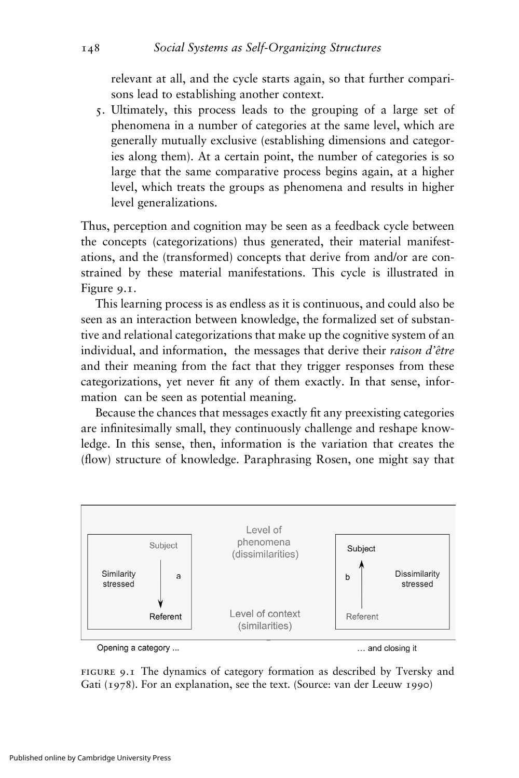relevant at all, and the cycle starts again, so that further comparisons lead to establishing another context.

5. Ultimately, this process leads to the grouping of a large set of phenomena in a number of categories at the same level, which are generally mutually exclusive (establishing dimensions and categories along them). At a certain point, the number of categories is so large that the same comparative process begins again, at a higher level, which treats the groups as phenomena and results in higher level generalizations.

Thus, perception and cognition may be seen as a feedback cycle between the concepts (categorizations) thus generated, their material manifestations, and the (transformed) concepts that derive from and/or are constrained by these material manifestations. This cycle is illustrated in Figure 9.1.

This learning process is as endless as it is continuous, and could also be seen as an interaction between knowledge, the formalized set of substantive and relational categorizations that make up the cognitive system of an individual, and information, the messages that derive their *raison d'être* and their meaning from the fact that they trigger responses from these categorizations, yet never fit any of them exactly. In that sense, information can be seen as potential meaning.

Because the chances that messages exactly fit any preexisting categories are infinitesimally small, they continuously challenge and reshape knowledge. In this sense, then, information is the variation that creates the (flow) structure of knowledge. Paraphrasing Rosen, one might say that



Opening a category ...

... and closing it

figure 9.1 The dynamics of category formation as described by Tversky and Gati (1978). For an explanation, see the text. (Source: van der Leeuw 1990)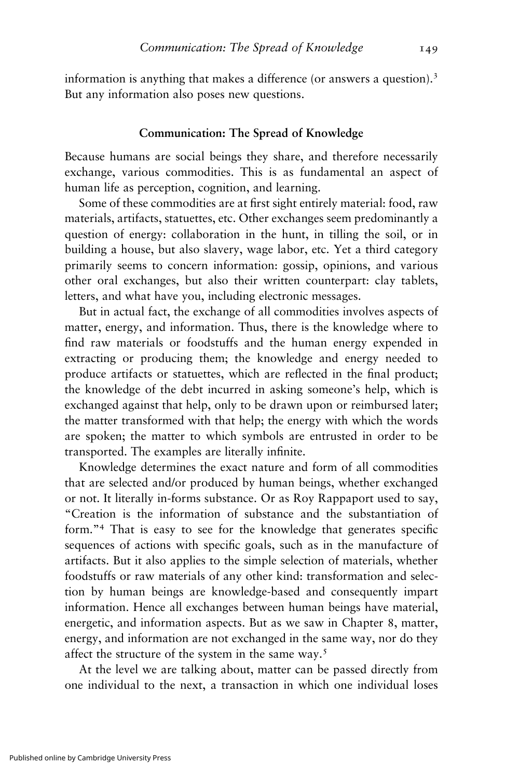information is anything that makes a difference (or answers a question).<sup>3</sup> But any information also poses new questions.

### **Communication: The Spread of Knowledge**

Because humans are social beings they share, and therefore necessarily exchange, various commodities. This is as fundamental an aspect of human life as perception, cognition, and learning.

Some of these commodities are at first sight entirely material: food, raw materials, artifacts, statuettes, etc. Other exchanges seem predominantly a question of energy: collaboration in the hunt, in tilling the soil, or in building a house, but also slavery, wage labor, etc. Yet a third category primarily seems to concern information: gossip, opinions, and various other oral exchanges, but also their written counterpart: clay tablets, letters, and what have you, including electronic messages.

But in actual fact, the exchange of all commodities involves aspects of matter, energy, and information. Thus, there is the knowledge where to find raw materials or foodstuffs and the human energy expended in extracting or producing them; the knowledge and energy needed to produce artifacts or statuettes, which are reflected in the final product; the knowledge of the debt incurred in asking someone's help, which is exchanged against that help, only to be drawn upon or reimbursed later; the matter transformed with that help; the energy with which the words are spoken; the matter to which symbols are entrusted in order to be transported. The examples are literally infinite.

Knowledge determines the exact nature and form of all commodities that are selected and/or produced by human beings, whether exchanged or not. It literally in-forms substance. Or as Roy Rappaport used to say, "Creation is the information of substance and the substantiation of form."<sup>4</sup> That is easy to see for the knowledge that generates specific sequences of actions with specific goals, such as in the manufacture of artifacts. But it also applies to the simple selection of materials, whether foodstuffs or raw materials of any other kind: transformation and selection by human beings are knowledge-based and consequently impart information. Hence all exchanges between human beings have material, energetic, and information aspects. But as we saw in Chapter 8, matter, energy, and information are not exchanged in the same way, nor do they affect the structure of the system in the same way.<sup>5</sup>

At the level we are talking about, matter can be passed directly from one individual to the next, a transaction in which one individual loses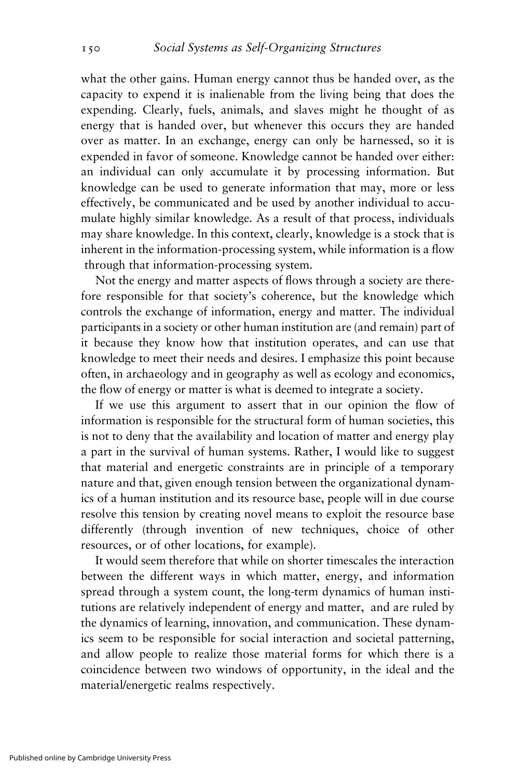what the other gains. Human energy cannot thus be handed over, as the capacity to expend it is inalienable from the living being that does the expending. Clearly, fuels, animals, and slaves might he thought of as energy that is handed over, but whenever this occurs they are handed over as matter. In an exchange, energy can only be harnessed, so it is expended in favor of someone. Knowledge cannot be handed over either: an individual can only accumulate it by processing information. But knowledge can be used to generate information that may, more or less effectively, be communicated and be used by another individual to accumulate highly similar knowledge. As a result of that process, individuals may share knowledge. In this context, clearly, knowledge is a stock that is inherent in the information-processing system, while information is a flow through that information-processing system.

Not the energy and matter aspects of flows through a society are therefore responsible for that society's coherence, but the knowledge which controls the exchange of information, energy and matter. The individual participants in a society or other human institution are (and remain) part of it because they know how that institution operates, and can use that knowledge to meet their needs and desires. I emphasize this point because often, in archaeology and in geography as well as ecology and economics, the flow of energy or matter is what is deemed to integrate a society.

If we use this argument to assert that in our opinion the flow of information is responsible for the structural form of human societies, this is not to deny that the availability and location of matter and energy play a part in the survival of human systems. Rather, I would like to suggest that material and energetic constraints are in principle of a temporary nature and that, given enough tension between the organizational dynamics of a human institution and its resource base, people will in due course resolve this tension by creating novel means to exploit the resource base differently (through invention of new techniques, choice of other resources, or of other locations, for example).

It would seem therefore that while on shorter timescales the interaction between the different ways in which matter, energy, and information spread through a system count, the long-term dynamics of human institutions are relatively independent of energy and matter, and are ruled by the dynamics of learning, innovation, and communication. These dynamics seem to be responsible for social interaction and societal patterning, and allow people to realize those material forms for which there is a coincidence between two windows of opportunity, in the ideal and the material/energetic realms respectively.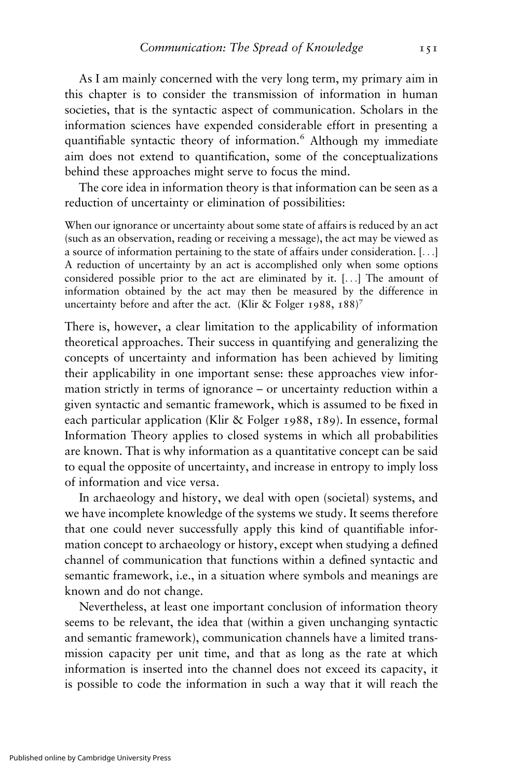As I am mainly concerned with the very long term, my primary aim in this chapter is to consider the transmission of information in human societies, that is the syntactic aspect of communication. Scholars in the information sciences have expended considerable effort in presenting a quantifiable syntactic theory of information.<sup>6</sup> Although my immediate aim does not extend to quantification, some of the conceptualizations behind these approaches might serve to focus the mind.

The core idea in information theory is that information can be seen as a reduction of uncertainty or elimination of possibilities:

When our ignorance or uncertainty about some state of affairs is reduced by an act (such as an observation, reading or receiving a message), the act may be viewed as a source of information pertaining to the state of affairs under consideration. [...] A reduction of uncertainty by an act is accomplished only when some options considered possible prior to the act are eliminated by it. [...] The amount of information obtained by the act may then be measured by the difference in uncertainty before and after the act. (Klir & Folger 1988, 188) 7

There is, however, a clear limitation to the applicability of information theoretical approaches. Their success in quantifying and generalizing the concepts of uncertainty and information has been achieved by limiting their applicability in one important sense: these approaches view information strictly in terms of ignorance – or uncertainty reduction within a given syntactic and semantic framework, which is assumed to be fixed in each particular application (Klir & Folger 1988, 189). In essence, formal Information Theory applies to closed systems in which all probabilities are known. That is why information as a quantitative concept can be said to equal the opposite of uncertainty, and increase in entropy to imply loss of information and vice versa.

In archaeology and history, we deal with open (societal) systems, and we have incomplete knowledge of the systems we study. It seems therefore that one could never successfully apply this kind of quantifiable information concept to archaeology or history, except when studying a defined channel of communication that functions within a defined syntactic and semantic framework, i.e., in a situation where symbols and meanings are known and do not change.

Nevertheless, at least one important conclusion of information theory seems to be relevant, the idea that (within a given unchanging syntactic and semantic framework), communication channels have a limited transmission capacity per unit time, and that as long as the rate at which information is inserted into the channel does not exceed its capacity, it is possible to code the information in such a way that it will reach the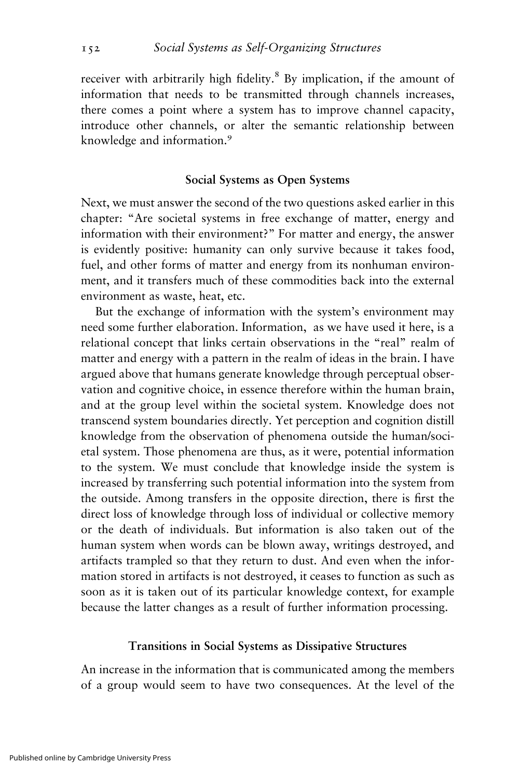receiver with arbitrarily high fidelity.<sup>8</sup> By implication, if the amount of information that needs to be transmitted through channels increases, there comes a point where a system has to improve channel capacity, introduce other channels, or alter the semantic relationship between knowledge and information.<sup>9</sup>

## **Social Systems as Open Systems**

Next, we must answer the second of the two questions asked earlier in this chapter: "Are societal systems in free exchange of matter, energy and information with their environment?" For matter and energy, the answer is evidently positive: humanity can only survive because it takes food, fuel, and other forms of matter and energy from its nonhuman environment, and it transfers much of these commodities back into the external environment as waste, heat, etc.

But the exchange of information with the system's environment may need some further elaboration. Information, as we have used it here, is a relational concept that links certain observations in the "real" realm of matter and energy with a pattern in the realm of ideas in the brain. I have argued above that humans generate knowledge through perceptual observation and cognitive choice, in essence therefore within the human brain, and at the group level within the societal system. Knowledge does not transcend system boundaries directly. Yet perception and cognition distill knowledge from the observation of phenomena outside the human/societal system. Those phenomena are thus, as it were, potential information to the system. We must conclude that knowledge inside the system is increased by transferring such potential information into the system from the outside. Among transfers in the opposite direction, there is first the direct loss of knowledge through loss of individual or collective memory or the death of individuals. But information is also taken out of the human system when words can be blown away, writings destroyed, and artifacts trampled so that they return to dust. And even when the information stored in artifacts is not destroyed, it ceases to function as such as soon as it is taken out of its particular knowledge context, for example because the latter changes as a result of further information processing.

## **Transitions in Social Systems as Dissipative Structures**

An increase in the information that is communicated among the members of a group would seem to have two consequences. At the level of the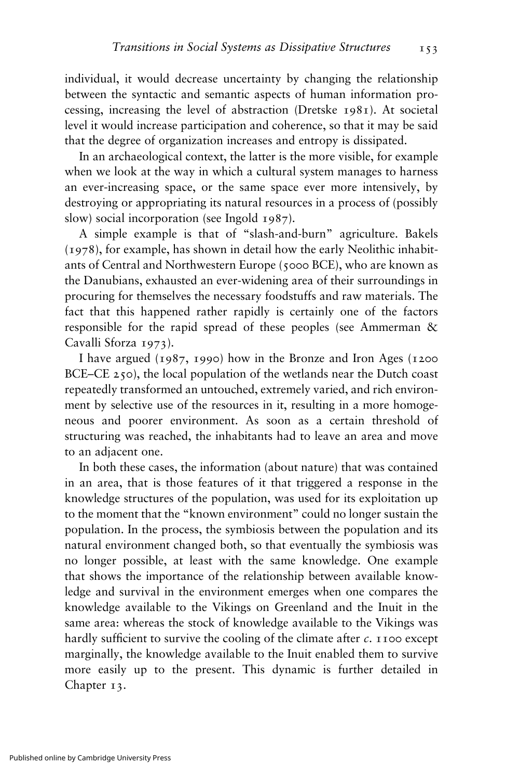individual, it would decrease uncertainty by changing the relationship between the syntactic and semantic aspects of human information processing, increasing the level of abstraction (Dretske 1981). At societal level it would increase participation and coherence, so that it may be said that the degree of organization increases and entropy is dissipated.

In an archaeological context, the latter is the more visible, for example when we look at the way in which a cultural system manages to harness an ever-increasing space, or the same space ever more intensively, by destroying or appropriating its natural resources in a process of (possibly slow) social incorporation (see Ingold 1987).

A simple example is that of "slash-and-burn" agriculture. Bakels (1978), for example, has shown in detail how the early Neolithic inhabitants of Central and Northwestern Europe (5000 BCE), who are known as the Danubians, exhausted an ever-widening area of their surroundings in procuring for themselves the necessary foodstuffs and raw materials. The fact that this happened rather rapidly is certainly one of the factors responsible for the rapid spread of these peoples (see Ammerman & Cavalli Sforza 1973).

I have argued (1987, 1990) how in the Bronze and Iron Ages (1200 BCE–CE 250), the local population of the wetlands near the Dutch coast repeatedly transformed an untouched, extremely varied, and rich environment by selective use of the resources in it, resulting in a more homogeneous and poorer environment. As soon as a certain threshold of structuring was reached, the inhabitants had to leave an area and move to an adjacent one.

In both these cases, the information (about nature) that was contained in an area, that is those features of it that triggered a response in the knowledge structures of the population, was used for its exploitation up to the moment that the "known environment" could no longer sustain the population. In the process, the symbiosis between the population and its natural environment changed both, so that eventually the symbiosis was no longer possible, at least with the same knowledge. One example that shows the importance of the relationship between available knowledge and survival in the environment emerges when one compares the knowledge available to the Vikings on Greenland and the Inuit in the same area: whereas the stock of knowledge available to the Vikings was hardly sufficient to survive the cooling of the climate after  $c$ . 1100 except marginally, the knowledge available to the Inuit enabled them to survive more easily up to the present. This dynamic is further detailed in Chapter 13.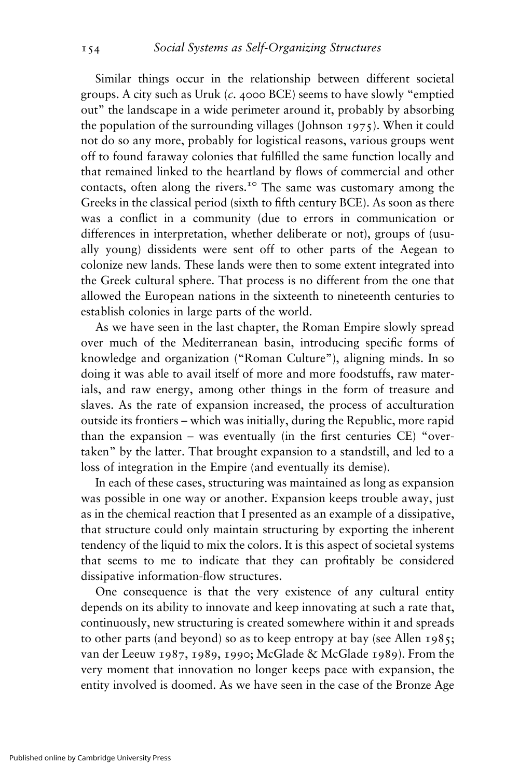Similar things occur in the relationship between different societal groups. A city such as Uruk (*c*. 4000 BCE) seems to have slowly "emptied out" the landscape in a wide perimeter around it, probably by absorbing the population of the surrounding villages (Johnson 1975). When it could not do so any more, probably for logistical reasons, various groups went off to found faraway colonies that fulfilled the same function locally and that remained linked to the heartland by flows of commercial and other contacts, often along the rivers.<sup>10</sup> The same was customary among the Greeks in the classical period (sixth to fifth century BCE). As soon as there was a conflict in a community (due to errors in communication or differences in interpretation, whether deliberate or not), groups of (usually young) dissidents were sent off to other parts of the Aegean to colonize new lands. These lands were then to some extent integrated into the Greek cultural sphere. That process is no different from the one that allowed the European nations in the sixteenth to nineteenth centuries to establish colonies in large parts of the world.

As we have seen in the last chapter, the Roman Empire slowly spread over much of the Mediterranean basin, introducing specific forms of knowledge and organization ("Roman Culture"), aligning minds. In so doing it was able to avail itself of more and more foodstuffs, raw materials, and raw energy, among other things in the form of treasure and slaves. As the rate of expansion increased, the process of acculturation outside its frontiers – which was initially, during the Republic, more rapid than the expansion – was eventually (in the first centuries CE) "overtaken" by the latter. That brought expansion to a standstill, and led to a loss of integration in the Empire (and eventually its demise).

In each of these cases, structuring was maintained as long as expansion was possible in one way or another. Expansion keeps trouble away, just as in the chemical reaction that I presented as an example of a dissipative, that structure could only maintain structuring by exporting the inherent tendency of the liquid to mix the colors. It is this aspect of societal systems that seems to me to indicate that they can profitably be considered dissipative information-flow structures.

One consequence is that the very existence of any cultural entity depends on its ability to innovate and keep innovating at such a rate that, continuously, new structuring is created somewhere within it and spreads to other parts (and beyond) so as to keep entropy at bay (see Allen 1985; van der Leeuw 1987, 1989, 1990; McGlade & McGlade 1989). From the very moment that innovation no longer keeps pace with expansion, the entity involved is doomed. As we have seen in the case of the Bronze Age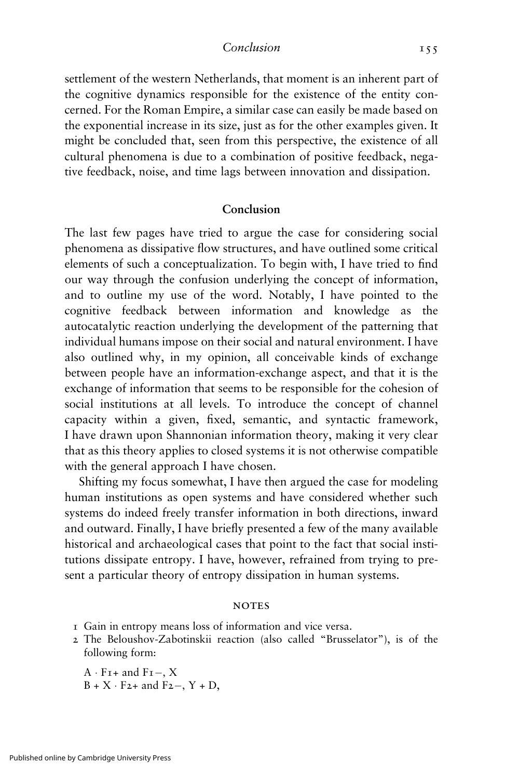settlement of the western Netherlands, that moment is an inherent part of the cognitive dynamics responsible for the existence of the entity concerned. For the Roman Empire, a similar case can easily be made based on the exponential increase in its size, just as for the other examples given. It might be concluded that, seen from this perspective, the existence of all cultural phenomena is due to a combination of positive feedback, negative feedback, noise, and time lags between innovation and dissipation.

## **Conclusion**

The last few pages have tried to argue the case for considering social phenomena as dissipative flow structures, and have outlined some critical elements of such a conceptualization. To begin with, I have tried to find our way through the confusion underlying the concept of information, and to outline my use of the word. Notably, I have pointed to the cognitive feedback between information and knowledge as the autocatalytic reaction underlying the development of the patterning that individual humans impose on their social and natural environment. I have also outlined why, in my opinion, all conceivable kinds of exchange between people have an information-exchange aspect, and that it is the exchange of information that seems to be responsible for the cohesion of social institutions at all levels. To introduce the concept of channel capacity within a given, fixed, semantic, and syntactic framework, I have drawn upon Shannonian information theory, making it very clear that as this theory applies to closed systems it is not otherwise compatible with the general approach I have chosen.

Shifting my focus somewhat, I have then argued the case for modeling human institutions as open systems and have considered whether such systems do indeed freely transfer information in both directions, inward and outward. Finally, I have briefly presented a few of the many available historical and archaeological cases that point to the fact that social institutions dissipate entropy. I have, however, refrained from trying to present a particular theory of entropy dissipation in human systems.

#### **NOTES**

- 1 Gain in entropy means loss of information and vice versa.
- 2 The Beloushov-Zabotinskii reaction (also called "Brusselator"), is of the following form:

 $A \cdot F1+$  and  $F1-, X$  $B + X \cdot F_{2+}$  and  $F_{2-}$ ,  $Y + D$ ,